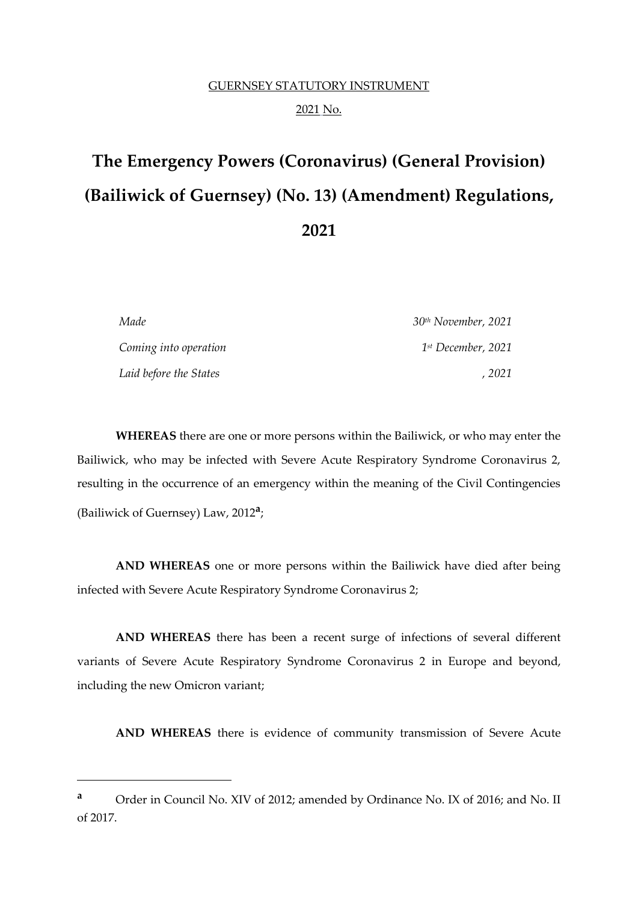# GUERNSEY STATUTORY INSTRUMENT 2021 No.

# **The Emergency Powers (Coronavirus) (General Provision) (Bailiwick of Guernsey) (No. 13) (Amendment) Regulations, 2021**

| Made                   | $30th November$ , 2021         |  |  |
|------------------------|--------------------------------|--|--|
| Coming into operation  | 1 <sup>st</sup> December, 2021 |  |  |
| Laid before the States | . 2021                         |  |  |

**WHEREAS** there are one or more persons within the Bailiwick, or who may enter the Bailiwick, who may be infected with Severe Acute Respiratory Syndrome Coronavirus 2, resulting in the occurrence of an emergency within the meaning of the Civil Contingencies (Bailiwick of Guernsey) Law, 2012**<sup>a</sup>** ;

**AND WHEREAS** one or more persons within the Bailiwick have died after being infected with Severe Acute Respiratory Syndrome Coronavirus 2;

**AND WHEREAS** there has been a recent surge of infections of several different variants of Severe Acute Respiratory Syndrome Coronavirus 2 in Europe and beyond, including the new Omicron variant;

**AND WHEREAS** there is evidence of community transmission of Severe Acute

**<sup>a</sup>** Order in Council No. XIV of 2012; amended by Ordinance No. IX of 2016; and No. II of 2017.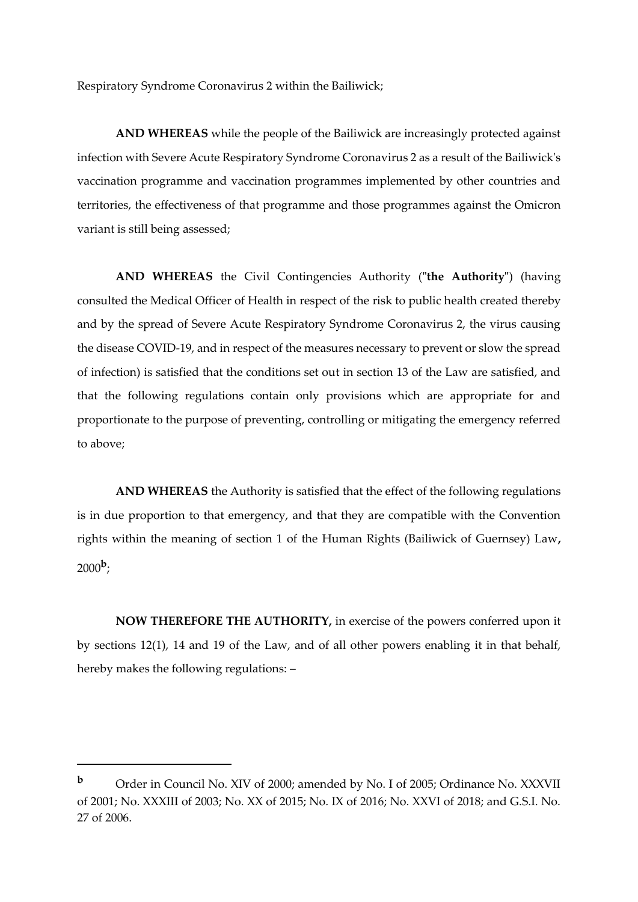Respiratory Syndrome Coronavirus 2 within the Bailiwick;

**AND WHEREAS** while the people of the Bailiwick are increasingly protected against infection with Severe Acute Respiratory Syndrome Coronavirus 2 as a result of the Bailiwick's vaccination programme and vaccination programmes implemented by other countries and territories, the effectiveness of that programme and those programmes against the Omicron variant is still being assessed;

**AND WHEREAS** the Civil Contingencies Authority (**"the Authority"**) (having consulted the Medical Officer of Health in respect of the risk to public health created thereby and by the spread of Severe Acute Respiratory Syndrome Coronavirus 2, the virus causing the disease COVID-19, and in respect of the measures necessary to prevent or slow the spread of infection) is satisfied that the conditions set out in section 13 of the Law are satisfied, and that the following regulations contain only provisions which are appropriate for and proportionate to the purpose of preventing, controlling or mitigating the emergency referred to above;

**AND WHEREAS** the Authority is satisfied that the effect of the following regulations is in due proportion to that emergency, and that they are compatible with the Convention rights within the meaning of section 1 of the Human Rights (Bailiwick of Guernsey) Law**,**   $2000^{\rm b}$ ;

**NOW THEREFORE THE AUTHORITY,** in exercise of the powers conferred upon it by sections 12(1), 14 and 19 of the Law, and of all other powers enabling it in that behalf, hereby makes the following regulations: –

**b** Order in Council No. XIV of 2000; amended by No. I of 2005; Ordinance No. XXXVII of 2001; No. XXXIII of 2003; No. XX of 2015; No. IX of 2016; No. XXVI of 2018; and G.S.I. No. 27 of 2006.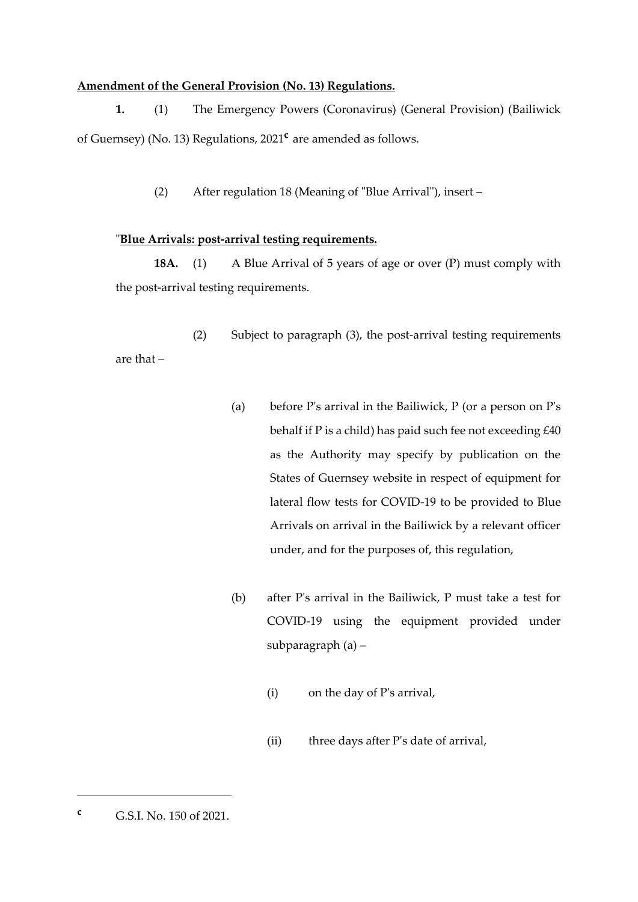# **Amendment of the General Provision (No. 13) Regulations.**

**1.** (1) The Emergency Powers (Coronavirus) (General Provision) (Bailiwick of Guernsey) (No. 13) Regulations, 2021**<sup>c</sup>** are amended as follows.

(2) After regulation 18 (Meaning of "Blue Arrival"), insert –

#### "**Blue Arrivals: post-arrival testing requirements.**

**18A.** (1) A Blue Arrival of 5 years of age or over (P) must comply with the post-arrival testing requirements.

(2) Subject to paragraph (3), the post-arrival testing requirements are that –

- (a) before P's arrival in the Bailiwick,  $P$  (or a person on P's behalf if P is a child) has paid such fee not exceeding £40 as the Authority may specify by publication on the States of Guernsey website in respect of equipment for lateral flow tests for COVID-19 to be provided to Blue Arrivals on arrival in the Bailiwick by a relevant officer under, and for the purposes of, this regulation,
- (b) after P's arrival in the Bailiwick, P must take a test for COVID-19 using the equipment provided under subparagraph (a) –
	- (i) on the day of P's arrival,
	- (ii) three days after P's date of arrival,

**<sup>c</sup>** G.S.I. No. 150 of 2021.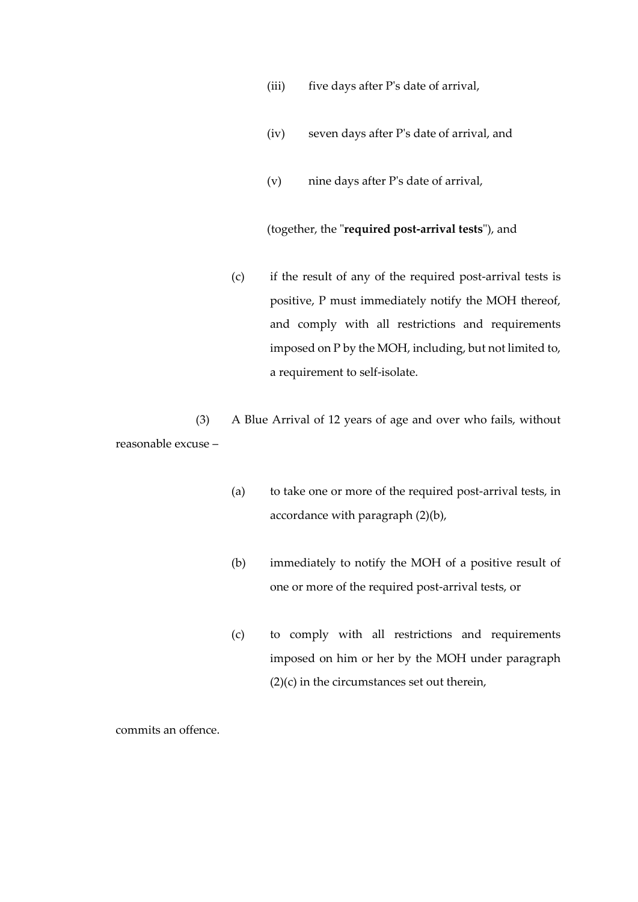- (iii) five days after P's date of arrival,
- (iv) seven days after P's date of arrival, and
- (v) nine days after P's date of arrival,

(together, the "**required post-arrival tests**"), and

(c) if the result of any of the required post-arrival tests is positive, P must immediately notify the MOH thereof, and comply with all restrictions and requirements imposed on P by the MOH, including, but not limited to, a requirement to self-isolate.

(3) A Blue Arrival of 12 years of age and over who fails, without reasonable excuse –

- (a) to take one or more of the required post-arrival tests, in accordance with paragraph (2)(b),
- (b) immediately to notify the MOH of a positive result of one or more of the required post-arrival tests, or
- (c) to comply with all restrictions and requirements imposed on him or her by the MOH under paragraph (2)(c) in the circumstances set out therein,

commits an offence.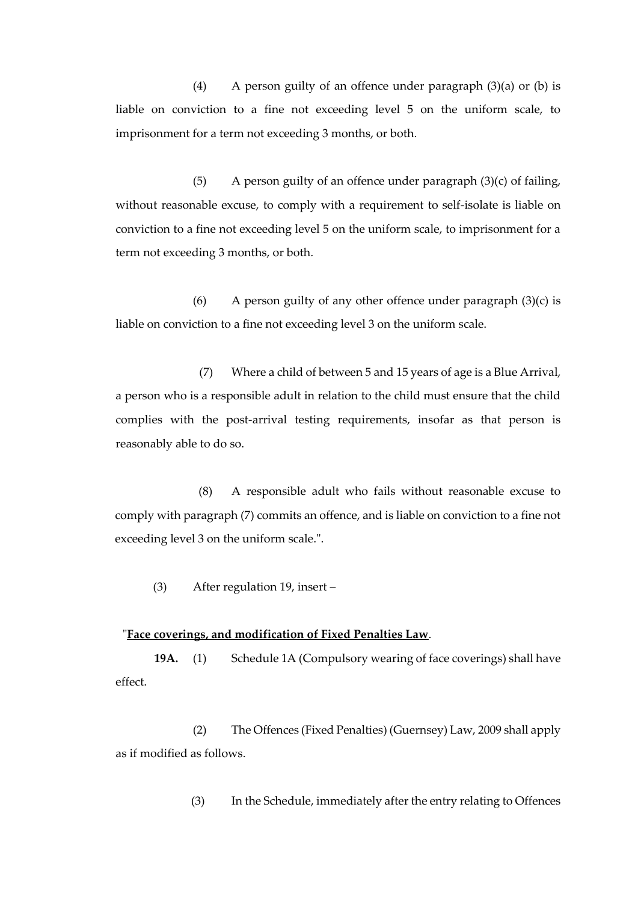(4) A person guilty of an offence under paragraph  $(3)(a)$  or  $(b)$  is liable on conviction to a fine not exceeding level 5 on the uniform scale, to imprisonment for a term not exceeding 3 months, or both.

(5) A person guilty of an offence under paragraph  $(3)(c)$  of failing, without reasonable excuse, to comply with a requirement to self-isolate is liable on conviction to a fine not exceeding level 5 on the uniform scale, to imprisonment for a term not exceeding 3 months, or both.

(6) A person guilty of any other offence under paragraph  $(3)(c)$  is liable on conviction to a fine not exceeding level 3 on the uniform scale.

(7) Where a child of between 5 and 15 years of age is a Blue Arrival, a person who is a responsible adult in relation to the child must ensure that the child complies with the post-arrival testing requirements, insofar as that person is reasonably able to do so.

(8) A responsible adult who fails without reasonable excuse to comply with paragraph (7) commits an offence, and is liable on conviction to a fine not exceeding level 3 on the uniform scale.".

(3) After regulation 19, insert –

# "**Face coverings, and modification of Fixed Penalties Law**.

**19A.** (1) Schedule 1A (Compulsory wearing of face coverings) shall have effect.

(2) The Offences (Fixed Penalties) (Guernsey) Law, 2009 shall apply as if modified as follows.

(3) In the Schedule, immediately after the entry relating to Offences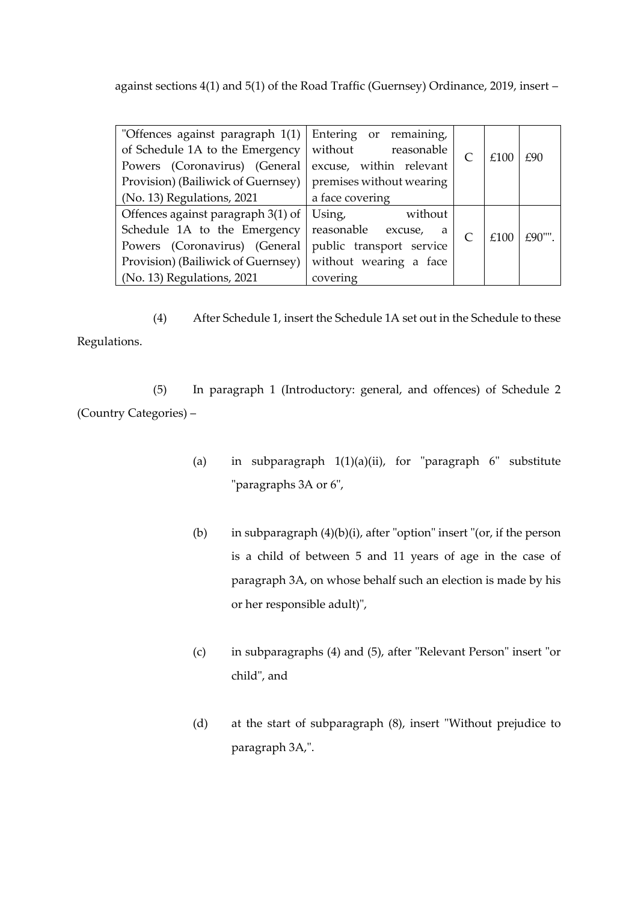against sections 4(1) and 5(1) of the Road Traffic (Guernsey) Ordinance, 2019, insert –

| "Offences against paragraph 1(1)   | Entering or remaining,   |  |      |          |
|------------------------------------|--------------------------|--|------|----------|
| of Schedule 1A to the Emergency    | without<br>reasonable    |  | £100 | £90      |
| Powers (Coronavirus) (General      | excuse, within relevant  |  |      |          |
| Provision) (Bailiwick of Guernsey) | premises without wearing |  |      |          |
| (No. 13) Regulations, 2021         | a face covering          |  |      |          |
| Offences against paragraph 3(1) of | Using,<br>without        |  |      |          |
| Schedule 1A to the Emergency       | reasonable excuse,<br>a  |  | £100 | $£90$ "" |
| Powers (Coronavirus) (General      | public transport service |  |      |          |
| Provision) (Bailiwick of Guernsey) | without wearing a face   |  |      |          |
| (No. 13) Regulations, 2021         | covering                 |  |      |          |

(4) After Schedule 1, insert the Schedule 1A set out in the Schedule to these Regulations.

(5) In paragraph 1 (Introductory: general, and offences) of Schedule 2 (Country Categories) –

- (a) in subparagraph 1(1)(a)(ii), for "paragraph 6" substitute "paragraphs 3A or 6",
- (b) in subparagraph  $(4)(b)(i)$ , after "option" insert "(or, if the person is a child of between 5 and 11 years of age in the case of paragraph 3A, on whose behalf such an election is made by his or her responsible adult)",
- (c) in subparagraphs (4) and (5), after "Relevant Person" insert "or child", and
- (d) at the start of subparagraph (8), insert "Without prejudice to paragraph 3A,".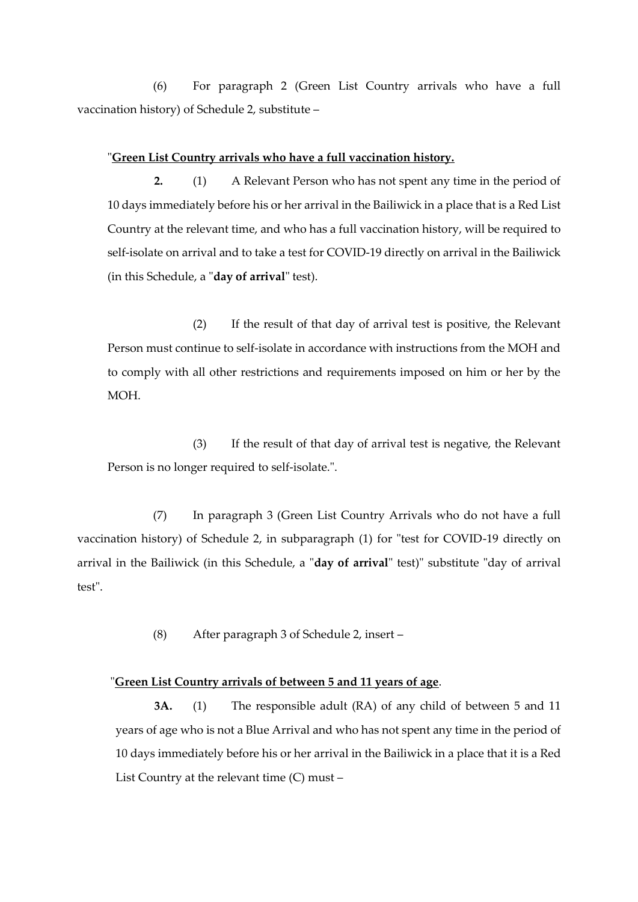(6) For paragraph 2 (Green List Country arrivals who have a full vaccination history) of Schedule 2, substitute –

#### "**Green List Country arrivals who have a full vaccination history.**

**2.** (1) A Relevant Person who has not spent any time in the period of 10 days immediately before his or her arrival in the Bailiwick in a place that is a Red List Country at the relevant time, and who has a full vaccination history, will be required to self-isolate on arrival and to take a test for COVID-19 directly on arrival in the Bailiwick (in this Schedule, a "**day of arrival**" test).

(2) If the result of that day of arrival test is positive, the Relevant Person must continue to self-isolate in accordance with instructions from the MOH and to comply with all other restrictions and requirements imposed on him or her by the MOH.

(3) If the result of that day of arrival test is negative, the Relevant Person is no longer required to self-isolate.".

(7) In paragraph 3 (Green List Country Arrivals who do not have a full vaccination history) of Schedule 2, in subparagraph (1) for "test for COVID-19 directly on arrival in the Bailiwick (in this Schedule, a "**day of arrival**" test)" substitute "day of arrival test".

(8) After paragraph 3 of Schedule 2, insert –

#### "**Green List Country arrivals of between 5 and 11 years of age**.

**3A.** (1) The responsible adult (RA) of any child of between 5 and 11 years of age who is not a Blue Arrival and who has not spent any time in the period of 10 days immediately before his or her arrival in the Bailiwick in a place that it is a Red List Country at the relevant time (C) must –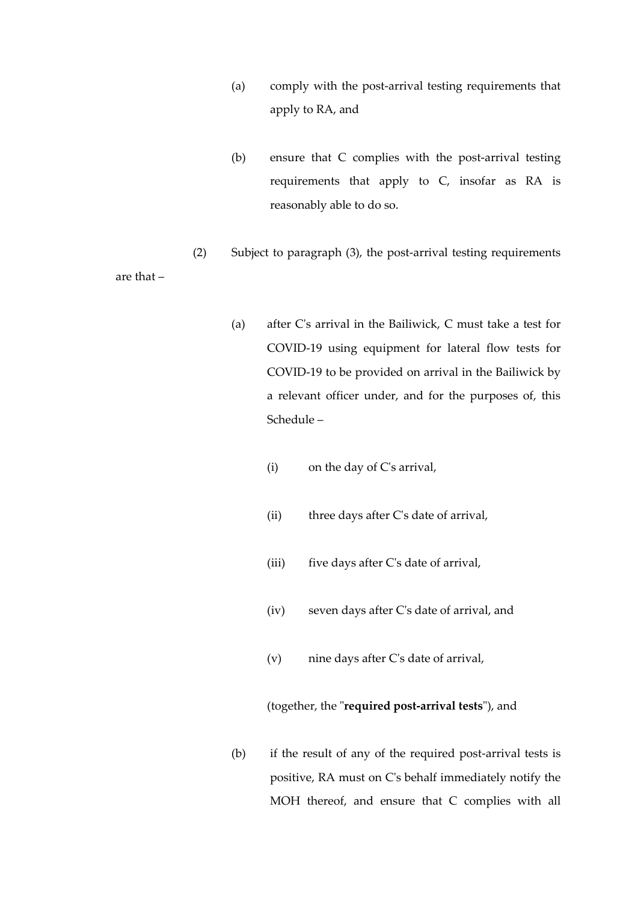- (a) comply with the post-arrival testing requirements that apply to RA, and
- (b) ensure that C complies with the post-arrival testing requirements that apply to C, insofar as RA is reasonably able to do so.
- (2) Subject to paragraph (3), the post-arrival testing requirements

are that –

- (a) after C's arrival in the Bailiwick, C must take a test for COVID-19 using equipment for lateral flow tests for COVID-19 to be provided on arrival in the Bailiwick by a relevant officer under, and for the purposes of, this Schedule –
	- (i) on the day of C's arrival,
	- (ii) three days after C's date of arrival,
	- (iii) five days after C's date of arrival,
	- (iv) seven days after C's date of arrival, and
	- (v) nine days after C's date of arrival,

# (together, the "**required post-arrival tests**"), and

(b) if the result of any of the required post-arrival tests is positive, RA must on C's behalf immediately notify the MOH thereof, and ensure that C complies with all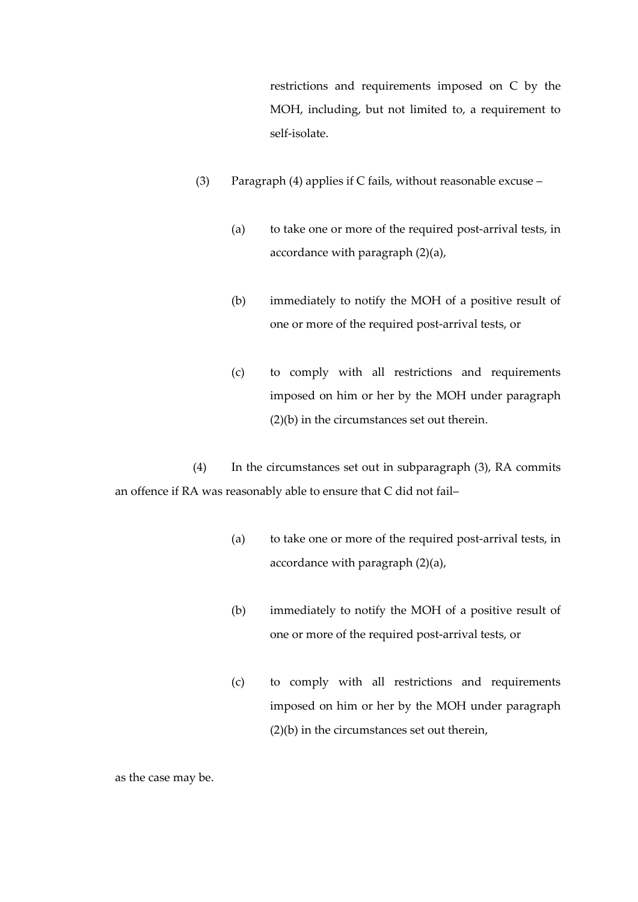restrictions and requirements imposed on C by the MOH, including, but not limited to, a requirement to self-isolate.

- (3) Paragraph (4) applies if C fails, without reasonable excuse
	- (a) to take one or more of the required post-arrival tests, in accordance with paragraph (2)(a),
	- (b) immediately to notify the MOH of a positive result of one or more of the required post-arrival tests, or
	- (c) to comply with all restrictions and requirements imposed on him or her by the MOH under paragraph (2)(b) in the circumstances set out therein.

(4) In the circumstances set out in subparagraph (3), RA commits an offence if RA was reasonably able to ensure that C did not fail–

- (a) to take one or more of the required post-arrival tests, in accordance with paragraph (2)(a),
- (b) immediately to notify the MOH of a positive result of one or more of the required post-arrival tests, or
- (c) to comply with all restrictions and requirements imposed on him or her by the MOH under paragraph (2)(b) in the circumstances set out therein,

as the case may be.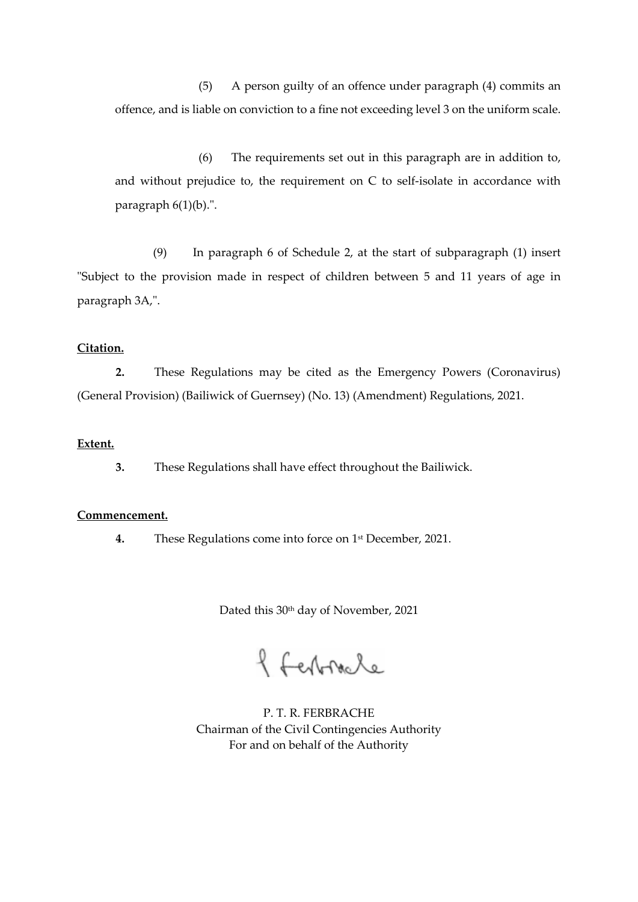(5) A person guilty of an offence under paragraph (4) commits an offence, and is liable on conviction to a fine not exceeding level 3 on the uniform scale.

(6) The requirements set out in this paragraph are in addition to, and without prejudice to, the requirement on C to self-isolate in accordance with paragraph 6(1)(b).".

(9) In paragraph 6 of Schedule 2, at the start of subparagraph (1) insert "Subject to the provision made in respect of children between 5 and 11 years of age in paragraph 3A,".

#### **Citation.**

**2.** These Regulations may be cited as the Emergency Powers (Coronavirus) (General Provision) (Bailiwick of Guernsey) (No. 13) (Amendment) Regulations, 2021.

# **Extent.**

**3.** These Regulations shall have effect throughout the Bailiwick.

#### **Commencement.**

**4.** These Regulations come into force on 1 st December, 2021.

Dated this 30<sup>th</sup> day of November, 2021

f ferbracle

P. T. R. FERBRACHE Chairman of the Civil Contingencies Authority For and on behalf of the Authority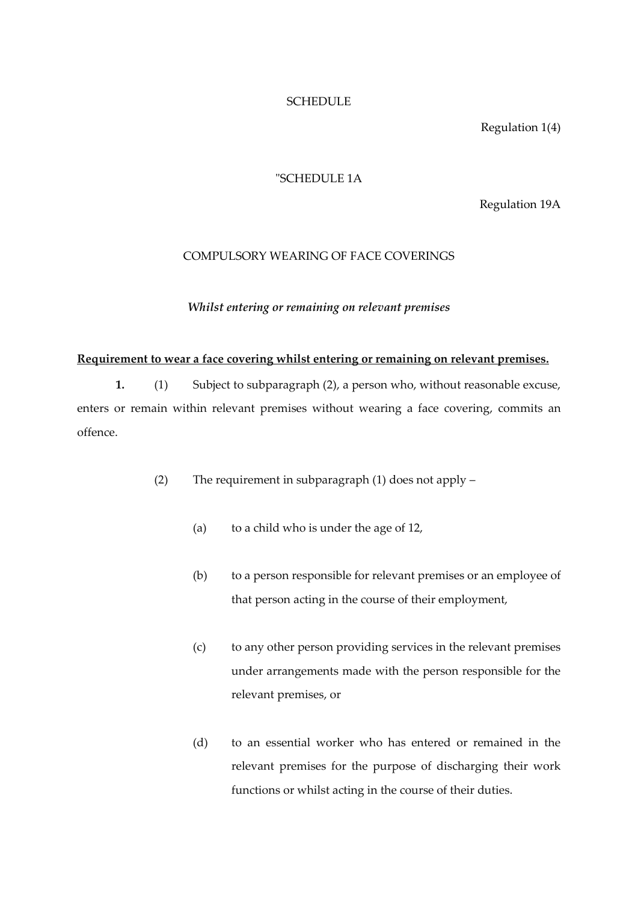# **SCHEDULE**

Regulation 1(4)

#### "SCHEDULE 1A

Regulation 19A

#### COMPULSORY WEARING OF FACE COVERINGS

*Whilst entering or remaining on relevant premises*

#### **Requirement to wear a face covering whilst entering or remaining on relevant premises.**

**1.** (1) Subject to subparagraph (2), a person who, without reasonable excuse, enters or remain within relevant premises without wearing a face covering, commits an offence.

- (2) The requirement in subparagraph (1) does not apply
	- (a) to a child who is under the age of 12,
	- (b) to a person responsible for relevant premises or an employee of that person acting in the course of their employment,
	- (c) to any other person providing services in the relevant premises under arrangements made with the person responsible for the relevant premises, or
	- (d) to an essential worker who has entered or remained in the relevant premises for the purpose of discharging their work functions or whilst acting in the course of their duties.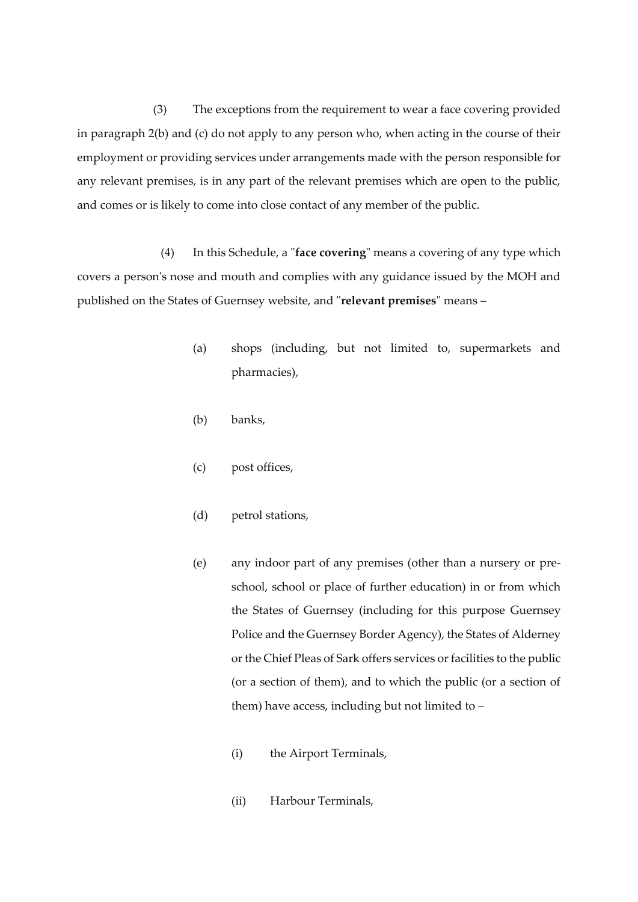(3) The exceptions from the requirement to wear a face covering provided in paragraph 2(b) and (c) do not apply to any person who, when acting in the course of their employment or providing services under arrangements made with the person responsible for any relevant premises, is in any part of the relevant premises which are open to the public, and comes or is likely to come into close contact of any member of the public.

(4) In this Schedule, a "**face covering**" means a covering of any type which covers a person's nose and mouth and complies with any guidance issued by the MOH and published on the States of Guernsey website, and "**relevant premises**" means –

- (a) shops (including, but not limited to, supermarkets and pharmacies),
- (b) banks,
- (c) post offices,
- (d) petrol stations,
- (e) any indoor part of any premises (other than a nursery or preschool, school or place of further education) in or from which the States of Guernsey (including for this purpose Guernsey Police and the Guernsey Border Agency), the States of Alderney or the Chief Pleas of Sark offers services or facilities to the public (or a section of them), and to which the public (or a section of them) have access, including but not limited to –
	- (i) the Airport Terminals,
	- (ii) Harbour Terminals,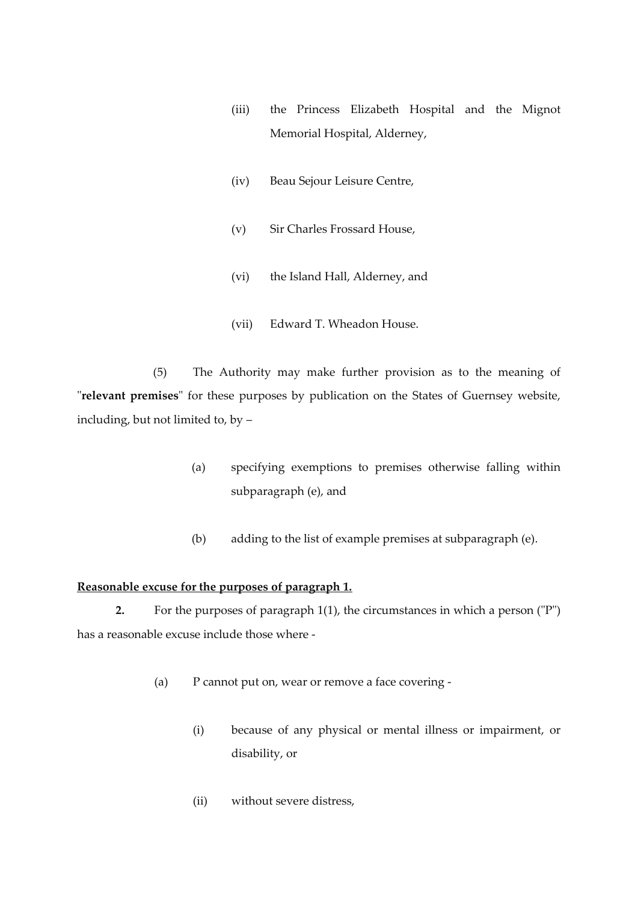- (iii) the Princess Elizabeth Hospital and the Mignot Memorial Hospital, Alderney,
- (iv) Beau Sejour Leisure Centre,
- (v) Sir Charles Frossard House,
- (vi) the Island Hall, Alderney, and
- (vii) Edward T. Wheadon House.

(5) The Authority may make further provision as to the meaning of "**relevant premises**" for these purposes by publication on the States of Guernsey website, including, but not limited to, by –

- (a) specifying exemptions to premises otherwise falling within subparagraph (e), and
- (b) adding to the list of example premises at subparagraph (e).

## **Reasonable excuse for the purposes of paragraph 1.**

**2.** For the purposes of paragraph 1(1), the circumstances in which a person ("P") has a reasonable excuse include those where -

- (a) P cannot put on, wear or remove a face covering
	- (i) because of any physical or mental illness or impairment, or disability, or
	- (ii) without severe distress,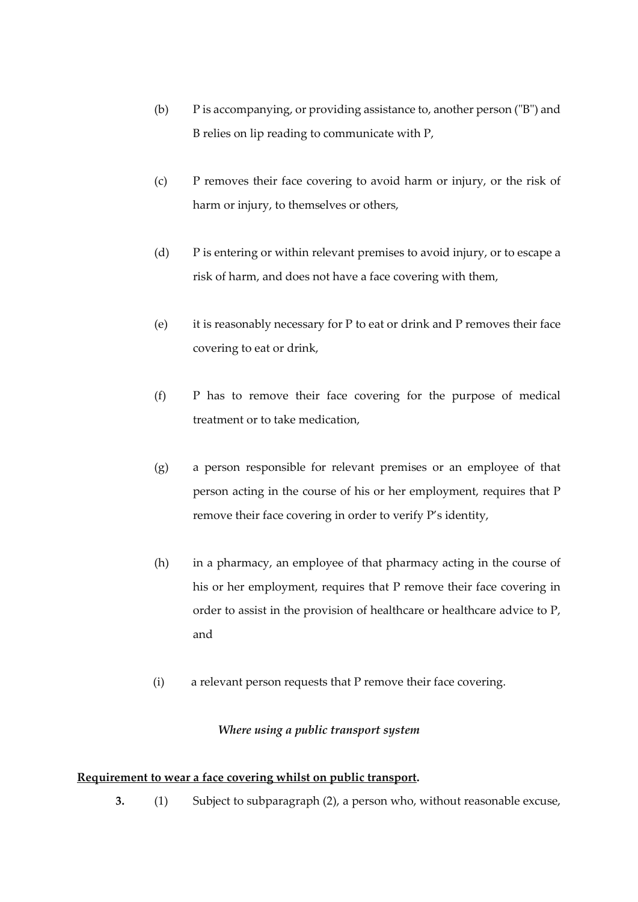- (b) P is accompanying, or providing assistance to, another person ("B") and B relies on lip reading to communicate with P,
- (c) P removes their face covering to avoid harm or injury, or the risk of harm or injury, to themselves or others,
- (d) P is entering or within relevant premises to avoid injury, or to escape a risk of harm, and does not have a face covering with them,
- (e) it is reasonably necessary for P to eat or drink and P removes their face covering to eat or drink,
- (f) P has to remove their face covering for the purpose of medical treatment or to take medication,
- (g) a person responsible for relevant premises or an employee of that person acting in the course of his or her employment, requires that P remove their face covering in order to verify P's identity,
- (h) in a pharmacy, an employee of that pharmacy acting in the course of his or her employment, requires that P remove their face covering in order to assist in the provision of healthcare or healthcare advice to P, and
- (i) a relevant person requests that P remove their face covering.

# *Where using a public transport system*

#### **Requirement to wear a face covering whilst on public transport.**

**3.** (1) Subject to subparagraph (2), a person who, without reasonable excuse,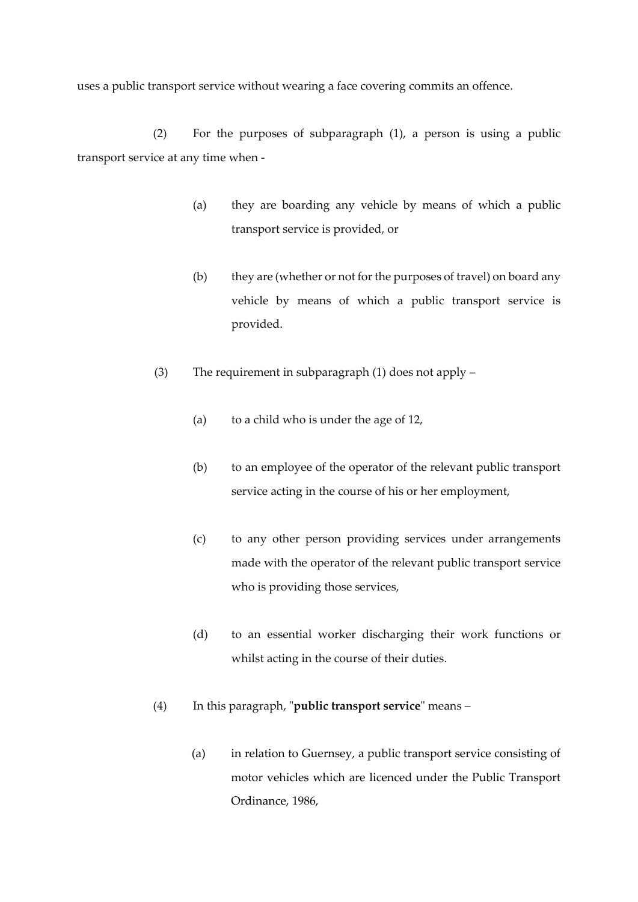uses a public transport service without wearing a face covering commits an offence.

(2) For the purposes of subparagraph (1), a person is using a public transport service at any time when -

- (a) they are boarding any vehicle by means of which a public transport service is provided, or
- (b) they are (whether or not for the purposes of travel) on board any vehicle by means of which a public transport service is provided.
- (3) The requirement in subparagraph (1) does not apply
	- (a) to a child who is under the age of 12,
	- (b) to an employee of the operator of the relevant public transport service acting in the course of his or her employment,
	- (c) to any other person providing services under arrangements made with the operator of the relevant public transport service who is providing those services,
	- (d) to an essential worker discharging their work functions or whilst acting in the course of their duties.
- (4) In this paragraph, "**public transport service**" means
	- (a) in relation to Guernsey, a public transport service consisting of motor vehicles which are licenced under the Public Transport Ordinance, 1986,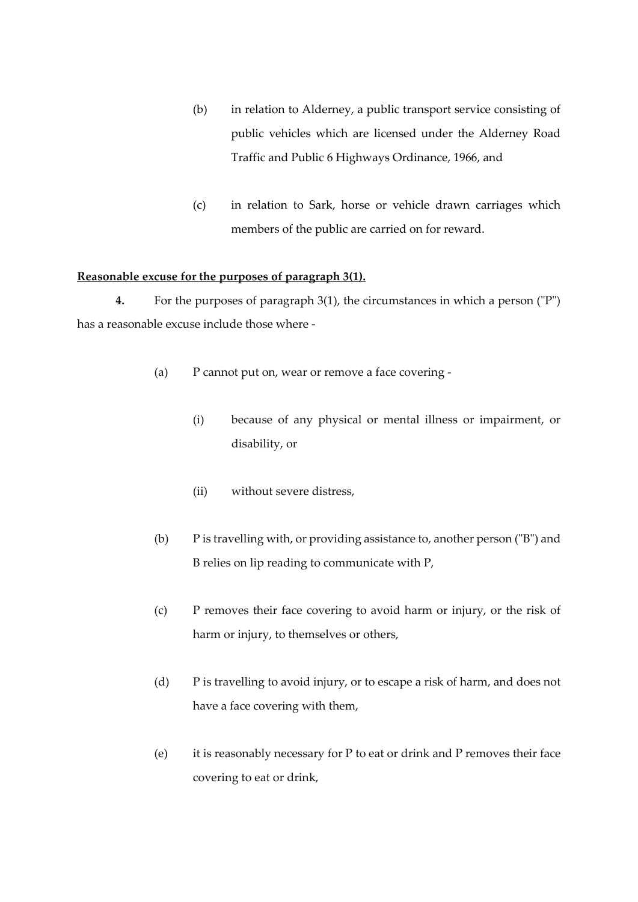- (b) in relation to Alderney, a public transport service consisting of public vehicles which are licensed under the Alderney Road Traffic and Public 6 Highways Ordinance, 1966, and
- (c) in relation to Sark, horse or vehicle drawn carriages which members of the public are carried on for reward.

# **Reasonable excuse for the purposes of paragraph 3(1).**

**4.** For the purposes of paragraph 3(1), the circumstances in which a person ("P") has a reasonable excuse include those where -

- (a) P cannot put on, wear or remove a face covering
	- (i) because of any physical or mental illness or impairment, or disability, or
	- (ii) without severe distress,
- (b) P is travelling with, or providing assistance to, another person ("B") and B relies on lip reading to communicate with P,
- (c) P removes their face covering to avoid harm or injury, or the risk of harm or injury, to themselves or others,
- (d) P is travelling to avoid injury, or to escape a risk of harm, and does not have a face covering with them,
- (e) it is reasonably necessary for P to eat or drink and P removes their face covering to eat or drink,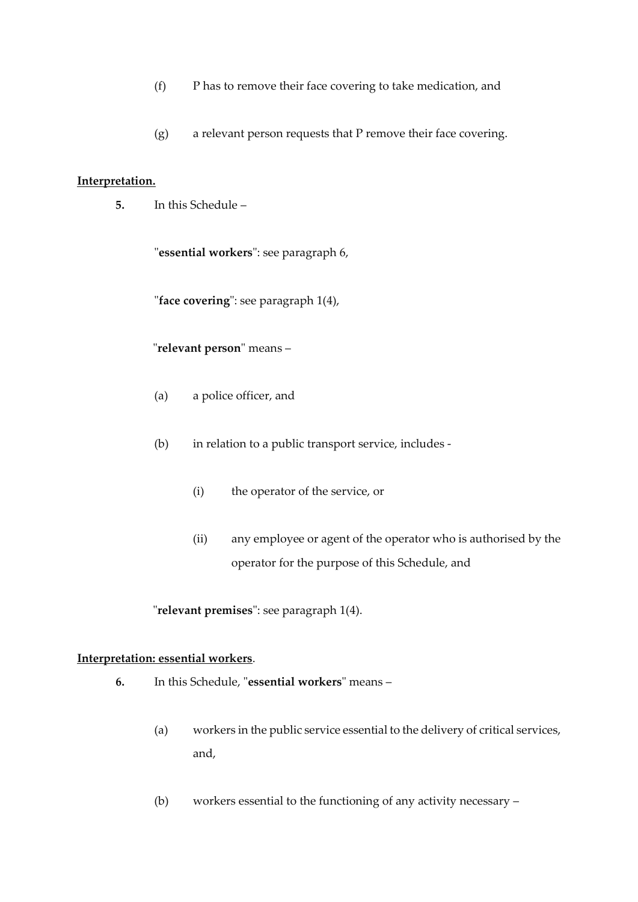- (f) P has to remove their face covering to take medication, and
- (g) a relevant person requests that P remove their face covering.

#### **Interpretation.**

**5.** In this Schedule –

"**essential workers**": see paragraph 6,

"**face covering**": see paragraph 1(4),

"**relevant person**" means –

- (a) a police officer, and
- (b) in relation to a public transport service, includes
	- (i) the operator of the service, or
	- (ii) any employee or agent of the operator who is authorised by the operator for the purpose of this Schedule, and

"**relevant premises**": see paragraph 1(4).

# **Interpretation: essential workers**.

- **6.** In this Schedule, "**essential workers**" means
	- (a) workers in the public service essential to the delivery of critical services, and,
	- (b) workers essential to the functioning of any activity necessary –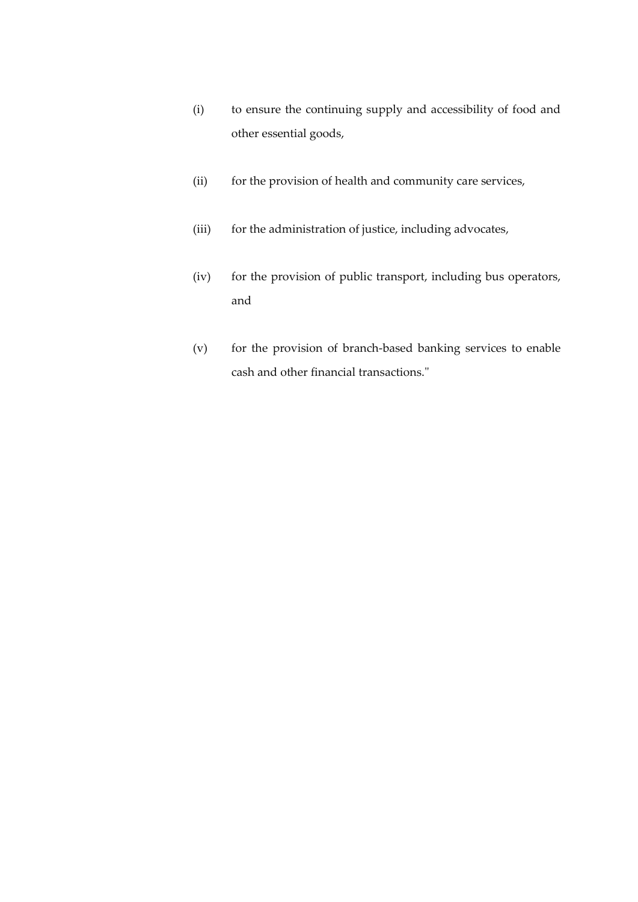- (i) to ensure the continuing supply and accessibility of food and other essential goods,
- (ii) for the provision of health and community care services,
- (iii) for the administration of justice, including advocates,
- (iv) for the provision of public transport, including bus operators, and
- (v) for the provision of branch-based banking services to enable cash and other financial transactions."